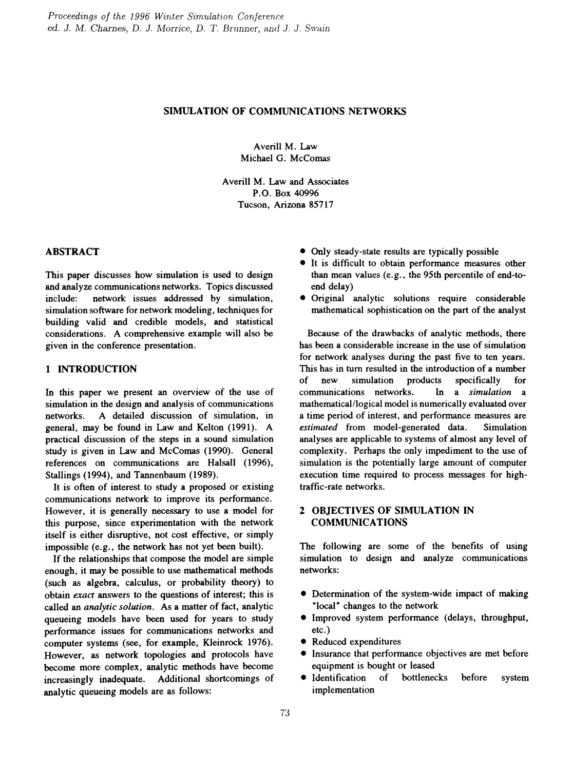#### SIMULATION OF COMMUNICATIONS NETWORKS

Averill M. Law Michael G. McComas

Averill M. Law and Associates P.O. Box 40996 Tucson, Arizona 85717

#### ABSTRACT

This paper discusses how simulation is used to design and analyze communications networks. Topics discussed include: network issues addressed by simulation, simulation software for network modeling, techniques for building valid and credible models, and statistical considerations. A comprehensive example will also be given in the conference presentation.

## 1 INTRODUCTION

In this paper we present an overview of the use of simulation in the design and analysis of communications networks. A detailed discussion of simulation, in general, may be found in Law and Kelton (1991). A practical discussion of the steps in a sound simulation study is given in Law and McComas (1990). General references on communications are Halsall (1996), Stallings (1994), and Tannenbaum (1989).

It is often of interest to study a proposed or existing communications network to improve its performance. However, it is generally necessary to use a model for this purpose, since experimentation with the network itself is either disruptive, not cost effective, or simply impossible (e.g., the network has not yet been built).

If the relationships that compose the model are simple enough, it may be possible to use mathematical methods (such as algebra, calculus, or probability theory) to obtain *exact* answers to the questions of interest; this is called an *analytic solution.* As a matter of fact, analytic queueing models have been used for years to study performance issues for communications networks and computer systems (see, for example, Kleinrock 1976). However, as network topologies and protocols have become more complex, analytic methods have become increasingly inadequate. Additional shortcomings of analytic queueing models are as follows:

- Only steady-state results are typically possible
- It is difficult to obtain performance measures other than mean values (e.g., the 95th percentile of end-toend delay)
- Original analytic solutions require considerable mathematical sophistication on the part of the analyst

Because of the drawbacks of analytic methods, there has been a considerable increase in the use of simulation for network analyses during the past five to ten years. This has in tum resulted in the introduction of a number of new simulation products specifically for communications networks. In a *simulation* a mathematical/logical model is numerically evaluated over a time period of interest, and performance measures are *estimated* from model-generated data. Simulation analyses are applicable to systems of almost any level of complexity. Perhaps the only impediment to the use of simulation is the potentially large amount of computer execution time required to process messages for hightraffic-rate networks.

# 2 OBJECTIVES OF SIMULATION IN COMMUNICATIONS

The following are some of the benefits of using simulation to design and analyze communications networks:

- Determination of the system-wide impact of making "local" changes to the network
- Improved system performance (delays, throughput, etc.)
- Reduced expenditures
- Insurance that performance objectives are met before equipment is bought or leased<br>Identification of bottlened
- Identification of bottlenecks before system implementation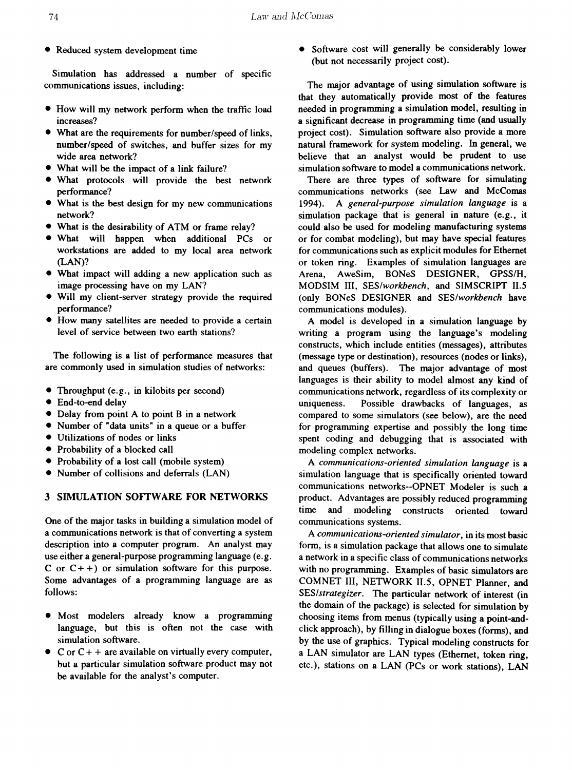• Reduced system development time

Simulation has addressed a number of specific communications issues, including:

- How will my network perform when the traffic load increases?
- What are the requirements for number/speed of links, number/speed of switches, and buffer sizes for my wide area network?
- What will be the impact of a link failure?
- What protocols will provide the best network performance?
- What is the best design for my new communications network?
- What is the desirability of ATM or frame relay?
- What will happen when additional PCs or workstations are added to my local area network (LAN)?
- What impact will adding a new application such as image processing have on my LAN?
- Will my client-server strategy provide the required performance?
- How many satellites are needed to provide a certain level of service between two earth stations?

The following is a list of performance measures that are commonly used in simulation studies of networks:

- Throughput (e.g., in kilobits per second)
- End-to-end delay
- Delay from point A to point B in a network
- Number of "data units" in a queue or a buffer
- Utilizations of nodes or links
- Probability of a blocked call
- Probability of a lost call (mobile system)
- Number of collisions and deferrals (LAN)

## 3 SIMULATION SOFTWARE FOR NETWORKS

One of the major tasks in building a simulation model of a communications network is that of converting a system description into a computer program. An analyst may use either a general-purpose programming language (e.g. C or  $C++$ ) or simulation software for this purpose. Some advantages of a programming language are as follows:

- Most modelers already know a programming language, but this is often not the case with simulation software.
- C or  $C++$  are available on virtually every computer, but a particular simulation software product may not be available for the analyst's computer.

• Software cost will generally be considerably lower (but not necessarily project cost).

The major advantage of using simulation software is that they automatically provide most of the features needed in programming a simulation model, resulting in a significant decrease in programming time (and usually project cost). Simulation software also provide a more natural framework for system modeling. In general, we believe that an analyst would be prudent to use simulation software to model a communications network.

There are three types of software for simulating communications networks (see Law and McComas 1994). A *general-purpose simulation language* is a simulation package that is general in nature (e.g., it could also be used for modeling manufacturing systems or for combat modeling), but may have special features for communications such as explicit modules for Ethernet or token ring. Examples of simulation languages are Arena, AweSim, BONeS DESIGNER, GPSS/H, MODSIM III, *SES/workhench,* and SIMSCRIPT II.5 (only BONeS DESIGNER and *SES/workhench* have communications modules).

A model is developed in a simulation language by writing a program using the language's modeling constructs, which include entities (messages), attributes (message type or destination), resources (nodes or links), and queues (buffers). The major advantage of most languages is their ability to model almost any kind of communications network, regardless of its complexity or uniqueness. Possible drawbacks of languages, as compared to some simulators (see below), are the need for programming expertise and possibly the long time spent coding and debugging that is associated with modeling complex networks.

A *communications-oriented simulation language* is a simulation language that is specifically oriented toward communications networks--OPNET Modeler is such a product. Advantages are possibly reduced programming time and modeling constructs oriented toward communications systems.

A *communications-oriented simulator,* in its most basic form, is a simulation package that allows one to simulate a network in a specific class of communications networks with no programming. Examples of basic simulators are COMNET III, NETWORK 11.5, OPNET Planner, and *SES/strategizer.* The particular network of interest (in the domain of the package) is selected for simulation by choosing items from menus (typically using a point-andclick approach), by filling in dialogue boxes (forms), and by the use of graphics. Typical modeling constructs for a LAN simulator are LAN types (Ethernet, token ring, etc.), stations on a LAN (PCs or work stations), LAN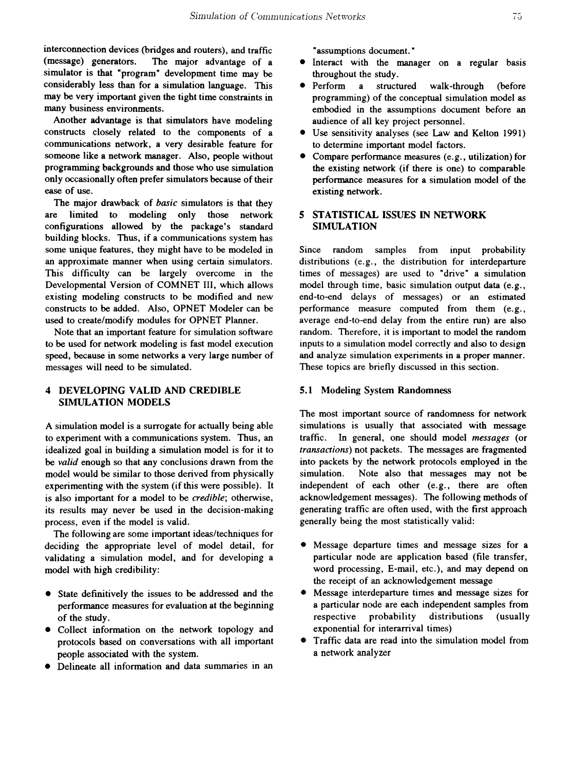interconnection devices (bridges and routers), and traffic The major advantage of a simulator is that "program" development time may be considerably less than for a simulation language. This may be very important given the tight time constraints in many business environments.

Another advantage is that simulators have modeling constructs closely related to the components of a communications network, a very desirable feature for someone like a network manager. Also, people without programming backgrounds and those who use simulation only occasionally often prefer simulators because of their ease of use.

The major drawback of *baric* simulators is that they are limited to modeling only those network configurations allowed by the package's standard building blocks. Thus, if a communications system has some unique features, they might have to be modeled in an approximate manner when using certain simulators. This difficulty can be largely overcome in the Developmental Version of COMNET III, which allows existing modeling constructs to be modified and new constructs to be added. Also, OPNET Modeler can be used to create/modify modules for OPNET Planner.

Note that an important feature for simulation software to be used for network modeling is fast model execution speed, because in some networks a very large number of messages will need to be simulated.

## 4 DEVELOPING VALID AND CREDIBLE SIMULATION MODELS

A simulation model is a surrogate for actually being able to experiment with a communications system. Thus, an idealized goal in building a simulation model is for it to be *valid* enough so that any conclusions drawn from the model would be similar to those derived from physically experimenting with the system (if this were possible). It is also important for a model to be *credible;* otherwise, its results may never be used in the decision-making process, even if the model is valid.

The following are some important ideas/techniques for deciding the appropriate level of model detail, for validating a simulation model, and for developing a model with high credibility:

- State definitively the issues to be addressed and the performance measures for evaluation at the beginning of the study.
- Collect information on the network topology and protocols based on conversations with all important people associated with the system.
- Delineate all information and data summaries in an

"assumptions document. "

- Interact with the manager on a regular basis throughout the study.
- Perform a structured walk-through (before programming) of the conceptual simulation model as embodied in the assumptions document before an audience of all key project personnel.
- Use sensitivity analyses (see Law and Kelton 1991) to determine important model factors.
- Compare performance measures (e.g., utilization) for the existing network (if there is one) to comparable performance measures for a simulation model of the existing network.

### 5 STATISTICAL ISSUES IN NETWORK SIMULATION

Since random samples from input probability distributions (e.g., the distribution for interdeparture times of messages) are used to "drive" a simulation model through time, basic simulation output data (e.g., end-to-end delays of messages) or an estimated performance measure computed from them (e.g., average end-to-end delay from the entire run) are also random. Therefore, it is important to model the random inputs to a simulation model correctly and also to design and analyze simulation experiments in a proper manner. These topics are briefly discussed in this section.

#### 5.1 Modeling System Randomness

The most important source of randomness for network simulations is usually that associated with message traffic. In general, one should model *messages* (or *transactions)* not packets. The messages are fragmented into packets by the network protocols employed in the simulation. Note also that messages may not be independent of each other (e.g., there are often acknowledgement messages). The following methods of generating traffic are often used, with the first approach generally being the most statistically valid:

- Message departure times and message sizes for a particular node are application based (file transfer, word processing, E-mail, etc.), and may depend on the receipt of an acknowledgement message
- Message interdeparture times and message sizes for a particular node are each independent samples from respective probability distributions (usually exponential for interarrival times)
- Traffic data are read into the simulation model from a network analyzer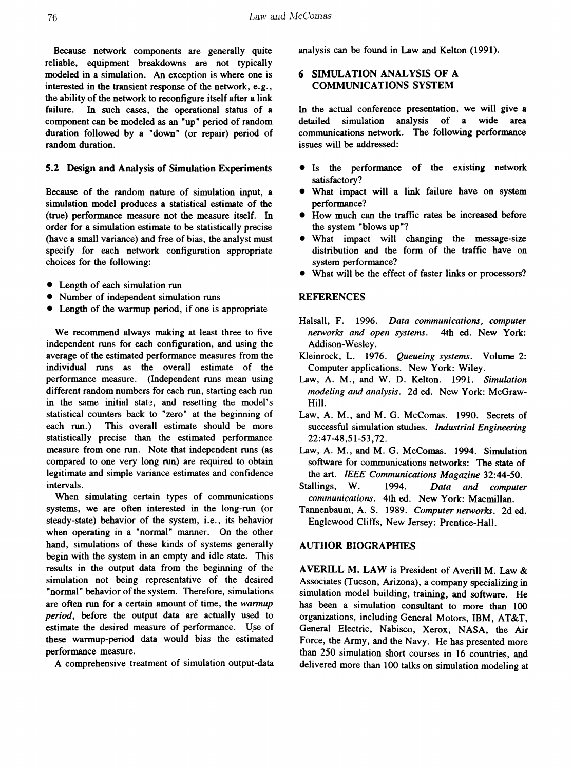Because network components are generally quite reliable, equipment breakdowns are not typically modeled in a simulation. An exception is where one is interested in the transient response of the network, e.g., the ability of the network to reconfigure itself after a link failure. In such cases, the operational status of a component can be modeled as an "up" period of random duration followed by a "down" (or repair) period of random duration.

#### 5.2 Design and Analysis of Simulation Experiments

Because of the random nature of simulation input, a simulation model produces a statistical estimate of the (true) performance measure not the measure itself. In order for a simulation estimate to be statistically precise (have a small variance) and free of bias, the analyst must specify for each network configuration appropriate choices for the following:

- Length of each simulation run
- Number of independent simulation runs
- Length of the warmup period, if one is appropriate

We recommend always making at least three to five independent runs for each configuration, and using the average of the estimated performance measures from the individual runs as the overall estimate of the performance measure. (Independent runs mean using different random numbers for each run, starting each run in the same initial state, and resetting the model's statistical counters back to "zero" at the beginning of each run.) This overall estimate should be more statistically precise than the estimated performance measure from one run. Note that independent runs (as compared to one very long run) are required to obtain legitimate and simple variance estimates and confidence intervals.

When simulating certain types of communications systems, we are often interested in the long-run (or steady-state) behavior of the system, i.e., its behavior when operating in a "normal" manner. On the other hand, simulations of these kinds of systems generally begin with the system in an empty and idle state. This results in the output data from the beginning of the simulation not being representative of the desired "normal" behavior of the system. Therefore, simulations are often run for a certain amount of time, the *warmup period,* before the output data are actually used to estimate the desired measure of performance. Use of these warmup-period data would bias the estimated performance measure.

A comprehensive treatment of simulation output-data

analysis can be found in Law and Kelton (1991).

### 6 SIMULATION ANALYSIS OF A COMMUNICATIONS SYSTEM

In the actual conference presentation, we will give a detailed simulation analysis of a wide area communications network. The following performance issues will be addressed:

- Is the performance of the existing network satisfactory?
- What impact will a link failure have on system performance?
- How much can the traffic rates be increased before the system "blows up"?
- What impact will changing the message-size distribution and the form of the traffic have on system performance?
- What will be the effect of faster links or processors?

## **REFERENCES**

- Halsall, F. 1996. *Data communications, computer networks and open systems*. 4th ed. New York: Addison-Wesley.
- Kleinrock, L. 1976. *Queueing systems.* Volume 2: Computer applications. New York: Wiley.
- Law, A. M., and W. D. Kelton. 1991. *Simulation modeling and analysis.* 2d ed. New York: McGraw-Hill.
- Law, A. M., and M. G. McComas. 1990. Secrets of successful simulation studies. *Industrial Engineering* 22:47-48,51-53,72.
- Law, A. M., and M. G. McComas. 1994. Simulation software for communications networks: The state of the art. *IEEE Communications Magazine 32:44-50.*
- Stallings, W. 1994. *Data and computer communications.* 4th ed. New York: Macmillan.
- Tannenbaum, A. S. 1989. *Computer networks.* 2d ed. Englewood Cliffs, New Jersey: Prentice-Hall.

# AUTHOR BIOGRAPHIES

AVERILL M. LAW is President of Averill M. Law & Associates (Tucson, Arizona), a company specializing in simulation model building, training, and software. He has been a simulation consultant to more than 100 organizations, including General Motors, IBM, AT&T, General Electric, Nabisco, Xerox, NASA, the Air Force, the Army, and the Navy. He has presented more than 250 simulation short courses in 16 countries, and delivered more than 100 talks on simulation modeling at